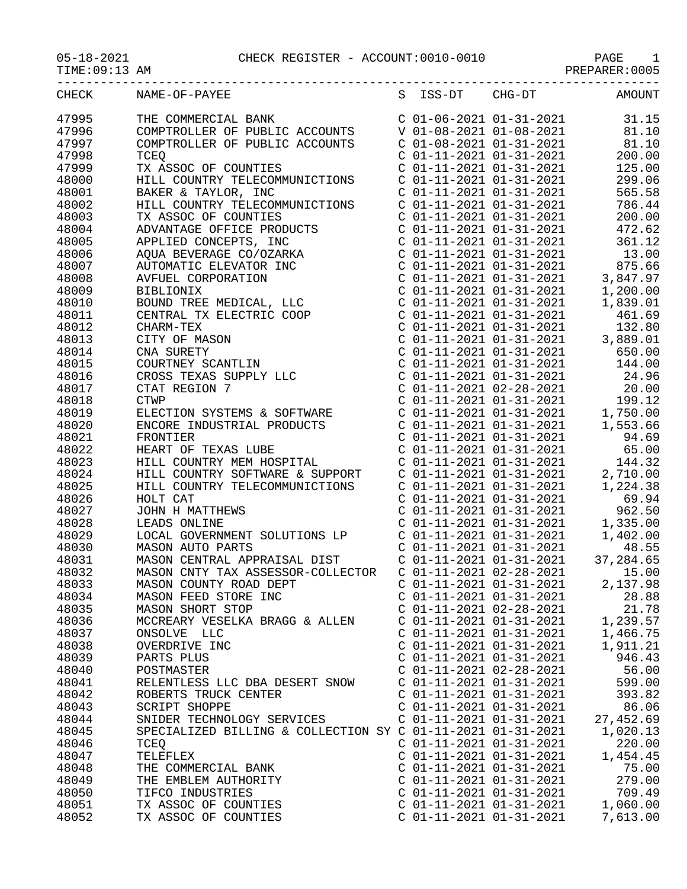05-18-2021 CHECK REGISTER - ACCOUNT:0010-0010 PAGE 1

| CHECK | NAME-OF-PAYEE                                               |                           | S ISS-DT CHG-DT AMOUNT |
|-------|-------------------------------------------------------------|---------------------------|------------------------|
| 47995 |                                                             |                           |                        |
| 47996 |                                                             |                           |                        |
| 47997 |                                                             |                           |                        |
| 47998 |                                                             |                           |                        |
| 47999 |                                                             |                           |                        |
|       |                                                             |                           |                        |
| 48000 |                                                             |                           |                        |
| 48001 |                                                             |                           |                        |
| 48002 |                                                             |                           |                        |
| 48003 |                                                             |                           |                        |
| 48004 |                                                             |                           |                        |
| 48005 |                                                             |                           |                        |
| 48006 |                                                             |                           |                        |
| 48007 |                                                             |                           |                        |
| 48008 |                                                             |                           |                        |
| 48009 |                                                             |                           |                        |
| 48010 |                                                             |                           |                        |
| 48011 |                                                             |                           |                        |
| 48012 |                                                             |                           |                        |
| 48013 |                                                             |                           |                        |
| 48014 |                                                             |                           |                        |
| 48015 |                                                             |                           |                        |
| 48016 |                                                             |                           |                        |
| 48017 |                                                             |                           |                        |
| 48018 |                                                             |                           |                        |
| 48019 |                                                             |                           |                        |
| 48020 |                                                             |                           |                        |
| 48021 |                                                             |                           |                        |
| 48022 |                                                             |                           |                        |
| 48023 |                                                             |                           |                        |
| 48024 |                                                             |                           |                        |
| 48025 |                                                             |                           |                        |
| 48026 |                                                             |                           |                        |
| 48027 |                                                             |                           |                        |
| 48028 |                                                             |                           |                        |
| 48029 |                                                             |                           |                        |
| 48030 |                                                             |                           |                        |
| 48031 |                                                             |                           |                        |
| 48032 |                                                             |                           | 15.00                  |
| 48033 | MASON CNTY TAX ASSESSOR-COLLECTOR C 01-11-2021 02-28-2021   | $C$ 01-11-2021 01-31-2021 | 2,137.98               |
|       | MASON COUNTY ROAD DEPT                                      | C 01-11-2021 01-31-2021   |                        |
| 48034 | MASON FEED STORE INC                                        | $C$ 01-11-2021 02-28-2021 | 28.88<br>21.78         |
| 48035 | MASON SHORT STOP                                            | C 01-11-2021 01-31-2021   |                        |
| 48036 | MCCREARY VESELKA BRAGG & ALLEN                              |                           | 1,239.57               |
| 48037 | ONSOLVE LLC                                                 | C 01-11-2021 01-31-2021   | 1,466.75               |
| 48038 | OVERDRIVE INC                                               | C 01-11-2021 01-31-2021   | 1,911.21               |
| 48039 | PARTS PLUS                                                  | C 01-11-2021 01-31-2021   | 946.43                 |
| 48040 | POSTMASTER                                                  | $C$ 01-11-2021 02-28-2021 | 56.00                  |
| 48041 | RELENTLESS LLC DBA DESERT SNOW                              | C 01-11-2021 01-31-2021   | 599.00                 |
| 48042 | ROBERTS TRUCK CENTER                                        | C 01-11-2021 01-31-2021   | 393.82                 |
| 48043 | <b>SCRIPT SHOPPE</b>                                        | $C$ 01-11-2021 01-31-2021 | 86.06                  |
| 48044 | SNIDER TECHNOLOGY SERVICES                                  | C 01-11-2021 01-31-2021   | 27,452.69              |
| 48045 | SPECIALIZED BILLING & COLLECTION SY C 01-11-2021 01-31-2021 |                           | 1,020.13               |
| 48046 | TCEQ                                                        | $C$ 01-11-2021 01-31-2021 | 220.00                 |
| 48047 | TELEFLEX                                                    | C 01-11-2021 01-31-2021   | 1,454.45               |
| 48048 | THE COMMERCIAL BANK                                         | $C$ 01-11-2021 01-31-2021 | 75.00                  |
| 48049 | THE EMBLEM AUTHORITY                                        | C 01-11-2021 01-31-2021   | 279.00                 |
| 48050 | TIFCO INDUSTRIES                                            | C 01-11-2021 01-31-2021   | 709.49                 |
| 48051 | TX ASSOC OF COUNTIES                                        | C 01-11-2021 01-31-2021   | 1,060.00               |
| 48052 | TX ASSOC OF COUNTIES                                        | C 01-11-2021 01-31-2021   | 7,613.00               |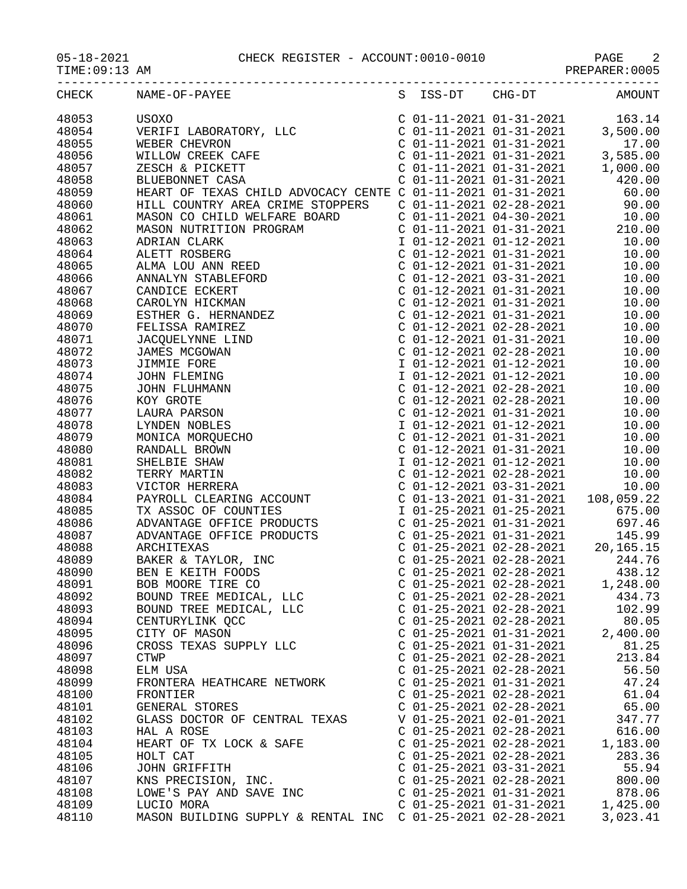## $05-18-2021$  CHECK REGISTER - ACCOUNT:0010-0010<br>TIME:09:13 AM

TIME:09:13 AM PREPARER:0005

|       | CHECK NAME-OF-PAYEE                                        |                           | S ISS-DT CHG-DT AMOUNT |
|-------|------------------------------------------------------------|---------------------------|------------------------|
|       |                                                            |                           |                        |
|       |                                                            |                           |                        |
|       |                                                            |                           |                        |
|       |                                                            |                           |                        |
|       |                                                            |                           |                        |
|       |                                                            |                           |                        |
|       |                                                            |                           |                        |
|       |                                                            |                           |                        |
|       |                                                            |                           |                        |
|       |                                                            |                           |                        |
|       |                                                            |                           |                        |
|       |                                                            |                           |                        |
|       |                                                            |                           |                        |
|       |                                                            |                           |                        |
|       |                                                            |                           |                        |
|       |                                                            |                           |                        |
|       |                                                            |                           |                        |
|       |                                                            |                           |                        |
|       |                                                            |                           |                        |
|       |                                                            |                           |                        |
|       |                                                            |                           |                        |
|       |                                                            |                           |                        |
|       |                                                            |                           |                        |
|       |                                                            |                           |                        |
|       |                                                            |                           |                        |
|       |                                                            |                           |                        |
|       |                                                            |                           |                        |
|       |                                                            |                           |                        |
|       |                                                            |                           |                        |
|       |                                                            |                           |                        |
|       |                                                            |                           |                        |
|       |                                                            |                           |                        |
|       |                                                            |                           |                        |
|       |                                                            |                           |                        |
|       |                                                            |                           |                        |
|       |                                                            |                           |                        |
|       |                                                            |                           |                        |
|       |                                                            |                           |                        |
|       |                                                            |                           |                        |
|       |                                                            |                           |                        |
|       |                                                            |                           |                        |
| 48091 | BOB MOORE TIRE CO                                          | $C$ 01-25-2021 02-28-2021 | 1,248.00               |
| 48092 | BOUND TREE MEDICAL, LLC                                    | $C$ 01-25-2021 02-28-2021 | 434.73                 |
| 48093 | BOUND TREE MEDICAL, LLC                                    | $C$ 01-25-2021 02-28-2021 | 102.99                 |
| 48094 | CENTURYLINK OCC                                            | $C$ 01-25-2021 02-28-2021 | 80.05                  |
| 48095 | CITY OF MASON                                              | $C$ 01-25-2021 01-31-2021 | 2,400.00               |
| 48096 | CROSS TEXAS SUPPLY LLC                                     | $C$ 01-25-2021 01-31-2021 | 81.25                  |
| 48097 | <b>CTWP</b>                                                | $C$ 01-25-2021 02-28-2021 | 213.84                 |
| 48098 | ELM USA                                                    | $C$ 01-25-2021 02-28-2021 | 56.50                  |
|       |                                                            |                           |                        |
| 48099 | FRONTERA HEATHCARE NETWORK                                 | $C$ 01-25-2021 01-31-2021 | 47.24                  |
| 48100 | FRONTIER                                                   | $C$ 01-25-2021 02-28-2021 | 61.04                  |
| 48101 | GENERAL STORES                                             | $C$ 01-25-2021 02-28-2021 | 65.00                  |
| 48102 | GLASS DOCTOR OF CENTRAL TEXAS                              | V 01-25-2021 02-01-2021   | 347.77                 |
| 48103 | HAL A ROSE                                                 | $C$ 01-25-2021 02-28-2021 | 616.00                 |
| 48104 | HEART OF TX LOCK & SAFE                                    | $C$ 01-25-2021 02-28-2021 | 1,183.00               |
| 48105 | HOLT CAT                                                   | $C$ 01-25-2021 02-28-2021 | 283.36                 |
| 48106 | JOHN GRIFFITH                                              | $C$ 01-25-2021 03-31-2021 | 55.94                  |
| 48107 | KNS PRECISION, INC.                                        | $C$ 01-25-2021 02-28-2021 | 800.00                 |
| 48108 | LOWE'S PAY AND SAVE INC                                    | $C$ 01-25-2021 01-31-2021 | 878.06                 |
| 48109 | LUCIO MORA                                                 | $C$ 01-25-2021 01-31-2021 | 1,425.00               |
| 48110 | MASON BUILDING SUPPLY & RENTAL INC C 01-25-2021 02-28-2021 |                           | 3,023.41               |
|       |                                                            |                           |                        |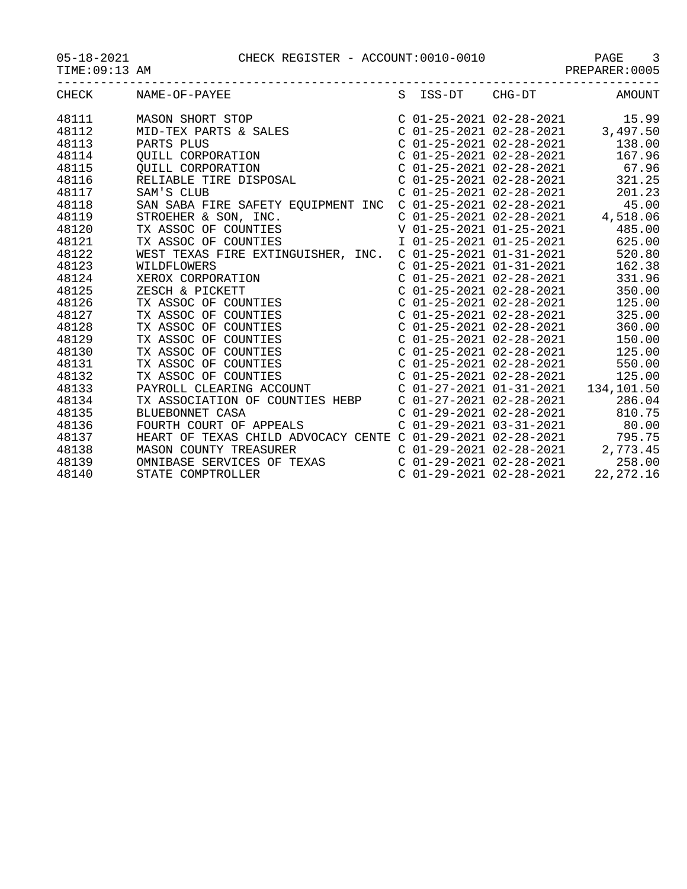## 05-18-2021 CHECK REGISTER - ACCOUNT:0010-0010 PAGE 3

TIME:09:13 AM PREPARER:0005

|       | CHECK NAME-OF-PAYEE                                                                                                                                                                                                                                                   |  | S ISS-DT CHG-DT AMOUNT           |        |
|-------|-----------------------------------------------------------------------------------------------------------------------------------------------------------------------------------------------------------------------------------------------------------------------|--|----------------------------------|--------|
| 48111 |                                                                                                                                                                                                                                                                       |  |                                  |        |
| 48112 |                                                                                                                                                                                                                                                                       |  |                                  |        |
| 48113 |                                                                                                                                                                                                                                                                       |  |                                  |        |
| 48114 |                                                                                                                                                                                                                                                                       |  |                                  |        |
| 48115 | PARTS PLUS<br>PARTS PLUS<br>CO1-25-2021 02-28-2021<br>CO1-25-2021 02-28-2021<br>CO1-25-2021 02-28-2021<br>CO1-25-2021 02-28-2021<br>CO1-25-2021 02-28-2021<br>SAM'S CLUB<br>CO1-25-2021 02-28-2021<br>CO1-25-2021 02-28-2021<br>CO1-25-2021 02-28-                    |  |                                  |        |
| 48116 |                                                                                                                                                                                                                                                                       |  |                                  |        |
| 48117 |                                                                                                                                                                                                                                                                       |  |                                  |        |
| 48118 |                                                                                                                                                                                                                                                                       |  |                                  |        |
| 48119 |                                                                                                                                                                                                                                                                       |  |                                  |        |
| 48120 | SAN SABA FIRE SAFETY EQUIPMENT INC C 01-25-2021 02-28-2021 45.00<br>STROEHER & SON, INC. C 01-25-2021 02-28-2021 4,518.06<br>TX ASSOC OF COUNTIES V 01-25-2021 01-25-2021 485.00<br>TX ASSOC OF COUNTIES I 01-25-2021 01-25-2021 625                                  |  |                                  |        |
| 48121 |                                                                                                                                                                                                                                                                       |  |                                  |        |
| 48122 | WEST TEXAS FIRE EXTINGUISHER, INC. C 01-25-2021 01-31-2021 520.80                                                                                                                                                                                                     |  |                                  |        |
| 48123 | WILDFLOWERS<br>WILDFLOWERS<br>XEROX CORPORATION<br>XEROX CORPORATION<br>XEROX CORPORATION<br>XEROX CORPORATION<br>XEROX CORPORATION<br>XEROX CORPORATION<br>XEROX CORPORATION<br>XEROX CORPORATION<br>XEROX CORPORATION<br>XEROX CORPORATION<br>XEROX CORPORATION<br> |  | $C$ 01-25-2021 01-31-2021 162.38 |        |
| 48124 |                                                                                                                                                                                                                                                                       |  |                                  |        |
| 48125 |                                                                                                                                                                                                                                                                       |  |                                  |        |
| 48126 |                                                                                                                                                                                                                                                                       |  |                                  |        |
| 48127 |                                                                                                                                                                                                                                                                       |  |                                  |        |
| 48128 |                                                                                                                                                                                                                                                                       |  |                                  |        |
| 48129 |                                                                                                                                                                                                                                                                       |  |                                  |        |
| 48130 |                                                                                                                                                                                                                                                                       |  |                                  |        |
| 48131 |                                                                                                                                                                                                                                                                       |  |                                  |        |
| 48132 |                                                                                                                                                                                                                                                                       |  |                                  |        |
| 48133 | PAYROLL CLEARING ACCOUNT C 01-27-2021 01-31-2021 134,101.50                                                                                                                                                                                                           |  |                                  |        |
| 48134 | TX ASSOCIATION OF COUNTIES HEBP<br>BLUEBONNET CASA C 01-27-2021 02-28-2021 296.04<br>FOURTH COURT OF APPEALS C 01-29-2021 03-31-2021 80.00                                                                                                                            |  |                                  |        |
| 48135 |                                                                                                                                                                                                                                                                       |  |                                  |        |
| 48136 |                                                                                                                                                                                                                                                                       |  |                                  |        |
| 48137 | HEART OF TEXAS CHILD ADVOCACY CENTE C 01-29-2021 02-28-2021 795.75                                                                                                                                                                                                    |  |                                  |        |
| 48138 |                                                                                                                                                                                                                                                                       |  |                                  |        |
| 48139 |                                                                                                                                                                                                                                                                       |  |                                  | 258.00 |
| 48140 | $C$ 01-29-2021 02-28-2021 22,272.16<br>STATE COMPTROLLER                                                                                                                                                                                                              |  |                                  |        |
|       |                                                                                                                                                                                                                                                                       |  |                                  |        |